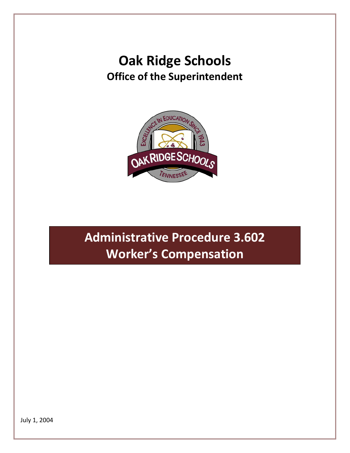## **Oak Ridge Schools Office of the Superintendent**



## **Administrative Procedure 3.602 Worker's Compensation**

July 1, 2004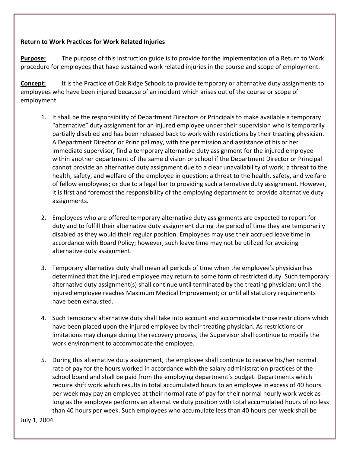## **Return to Work Practices for Work Related Injuries**

**Purpose:** The purpose of this instruction guide is to provide for the implementation of a Return to Work procedure for employees that have sustained work related injuries in the course and scope of employment.

**Concept:** It is the Practice of Oak Ridge Schools to provide temporary or alternative duty assignments to employees who have been injured because of an incident which arises out of the course or scope of employment.

- 1. It shall be the responsibility of Department Directors or Principals to make available a temporary "alternative" duty assignment for an injured employee under their supervision who is temporarily partially disabled and has been released back to work with restrictions by their treating physician. A Department Director or Principal may, with the permission and assistance of his or her immediate supervisor, find a temporary alternative duty assignment for the injured employee within another department of the same division or school if the Department Director or Principal cannot provide an alternative duty assignment due to a clear unavailability of work; a threat to the health, safety, and welfare of the employee in question; a threat to the health, safety, and welfare of fellow employees; or due to a legal bar to providing such alternative duty assignment. However, it is first and foremost the responsibility of the employing department to provide alternative duty assignments.
- 2. Employees who are offered temporary alternative duty assignments are expected to report for duty and to fulfill their alternative duty assignment during the period of time they are temporarily disabled as they would their regular position. Employees may use their accrued leave time in accordance with Board Policy; however, such leave time may not be utilized for avoiding alternative duty assignment.
- 3. Temporary alternative duty shall mean all periods of time when the employee's physician has determined that the injured employee may return to some form of restricted duty. Such temporary alternative duty assignment(s) shall continue until terminated by the treating physician; until the injured employee reaches Maximum Medical Improvement; or until all statutory requirements have been exhausted.
- 4. Such temporary alternative duty shall take into account and accommodate those restrictions which have been placed upon the injured employee by their treating physician. As restrictions or limitations may change during the recovery process, the Supervisor shall continue to modify the work environment to accommodate the employee.
- 5. During this alternative duty assignment, the employee shall continue to receive his/her normal rate of pay for the hours worked in accordance with the salary administration practices of the school board and shall be paid from the employing department's budget. Departments which require shift work which results in total accumulated hours to an employee in excess of 40 hours per week may pay an employee at their normal rate of pay for their normal hourly work week as long as the employee performs an alternative duty position with total accumulated hours of no less than 40 hours per week. Such employees who accumulate less than 40 hours per week shall be